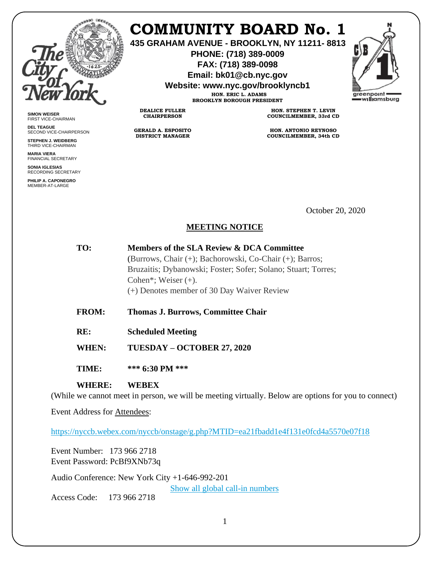

**SIMON WEISER** FIRST VICE-CHAIRMAN **DEL TEAGUE**

SECOND VICE-CHAIRPERSON **STEPHEN J. WEIDBERG** THIRD VICE-CHAIRMAN **MARIA VIERA** FINANCIAL SECRETARY **SONIA IGLESIAS** RECORDING SECRETARY **PHILIP A. CAPONEGRO** MEMBER-AT-LARGE

## **COMMUNITY BOARD No. 1**

**435 GRAHAM AVENUE - BROOKLYN, NY 11211- 8813**

**PHONE: (718) 389-0009 FAX: (718) 389-0098**

**Email: bk01@cb.nyc.gov**

**Website: www.nyc.gov/brooklyncb1**

**HON. ERIC L. ADAMS BROOKLYN BOROUGH PRESIDENT**

**DEALICE FULLER CHAIRPERSON**

**GERALD A. ESPOSITO DISTRICT MANAGER**

**HON. STEPHEN T. LEVIN COUNCILMEMBER, 33rd CD**

**HON. ANTONIO REYNOSO COUNCILMEMBER, 34th CD**

October 20, 2020

## **MEETING NOTICE**

| TO:   | Members of the SLA Review & DCA Committee                     |
|-------|---------------------------------------------------------------|
|       | (Burrows, Chair (+); Bachorowski, Co-Chair (+); Barros;       |
|       | Bruzaitis; Dybanowski; Foster; Sofer; Solano; Stuart; Torres; |
|       | Cohen*; Weiser $(+)$ .                                        |
|       | (+) Denotes member of 30 Day Waiver Review                    |
|       |                                                               |
| FROM• | Thomas I Rurrows Committee Chair                              |

- **FROM: Thomas J. Burrows, Committee Chair**
- **RE: Scheduled Meeting**
- **WHEN: TUESDAY – OCTOBER 27, 2020**
- **TIME: \*\*\* 6:30 PM \*\*\***

## **WHERE: WEBEX**

(While we cannot meet in person, we will be meeting virtually. Below are options for you to connect)

Event Address for Attendees:

<https://nyccb.webex.com/nyccb/onstage/g.php?MTID=ea21fbadd1e4f131e0fcd4a5570e07f18>

Event Number: 173 966 2718 Event Password: PcBf9XNb73q

Audio Conference: New York City +1-646-992-201

[Show all global call-in numbers](https://nyccb.webex.com/cmp3300/webcomponents/widget/globalcallin/globalcallin.do?siteurl=nyccb&serviceType=EC&eventID=1101180212&tollFree=0)

Access Code: 173 966 2718